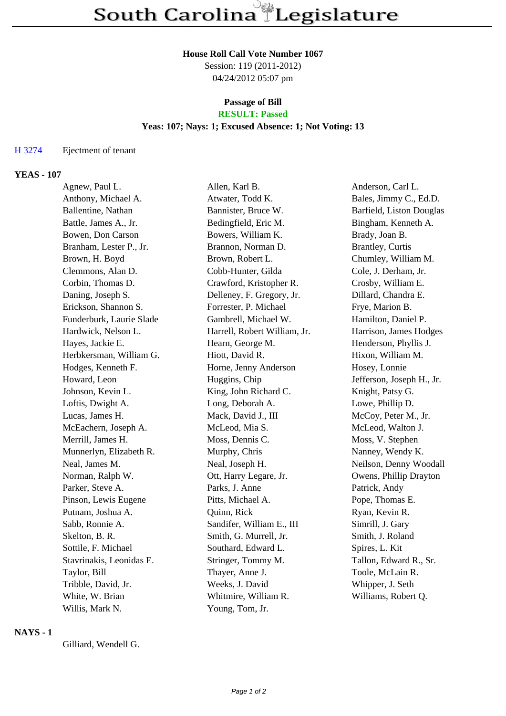### **House Roll Call Vote Number 1067**

Session: 119 (2011-2012) 04/24/2012 05:07 pm

# **Passage of Bill RESULT: Passed**

## **Yeas: 107; Nays: 1; Excused Absence: 1; Not Voting: 13**

#### H 3274 Ejectment of tenant

#### **YEAS - 107**

| Agnew, Paul L.           | Allen, Karl B.               | Anderson, Carl L.         |
|--------------------------|------------------------------|---------------------------|
| Anthony, Michael A.      | Atwater, Todd K.             | Bales, Jimmy C., Ed.D.    |
| Ballentine, Nathan       | Bannister, Bruce W.          | Barfield, Liston Douglas  |
| Battle, James A., Jr.    | Bedingfield, Eric M.         | Bingham, Kenneth A.       |
| Bowen, Don Carson        | Bowers, William K.           | Brady, Joan B.            |
| Branham, Lester P., Jr.  | Brannon, Norman D.           | Brantley, Curtis          |
| Brown, H. Boyd           | Brown, Robert L.             | Chumley, William M.       |
| Clemmons, Alan D.        | Cobb-Hunter, Gilda           | Cole, J. Derham, Jr.      |
| Corbin, Thomas D.        | Crawford, Kristopher R.      | Crosby, William E.        |
| Daning, Joseph S.        | Delleney, F. Gregory, Jr.    | Dillard, Chandra E.       |
| Erickson, Shannon S.     | Forrester, P. Michael        | Frye, Marion B.           |
| Funderburk, Laurie Slade | Gambrell, Michael W.         | Hamilton, Daniel P.       |
| Hardwick, Nelson L.      | Harrell, Robert William, Jr. | Harrison, James Hodges    |
| Hayes, Jackie E.         | Hearn, George M.             | Henderson, Phyllis J.     |
| Herbkersman, William G.  | Hiott, David R.              | Hixon, William M.         |
| Hodges, Kenneth F.       | Horne, Jenny Anderson        | Hosey, Lonnie             |
| Howard, Leon             | Huggins, Chip                | Jefferson, Joseph H., Jr. |
| Johnson, Kevin L.        | King, John Richard C.        | Knight, Patsy G.          |
| Loftis, Dwight A.        | Long, Deborah A.             | Lowe, Phillip D.          |
| Lucas, James H.          | Mack, David J., III          | McCoy, Peter M., Jr.      |
| McEachern, Joseph A.     | McLeod, Mia S.               | McLeod, Walton J.         |
| Merrill, James H.        | Moss, Dennis C.              | Moss, V. Stephen          |
| Munnerlyn, Elizabeth R.  | Murphy, Chris                | Nanney, Wendy K.          |
| Neal, James M.           | Neal, Joseph H.              | Neilson, Denny Woodall    |
| Norman, Ralph W.         | Ott, Harry Legare, Jr.       | Owens, Phillip Drayton    |
| Parker, Steve A.         | Parks, J. Anne               | Patrick, Andy             |
| Pinson, Lewis Eugene     | Pitts, Michael A.            | Pope, Thomas E.           |
| Putnam, Joshua A.        | Quinn, Rick                  | Ryan, Kevin R.            |
| Sabb, Ronnie A.          | Sandifer, William E., III    | Simrill, J. Gary          |
| Skelton, B. R.           | Smith, G. Murrell, Jr.       | Smith, J. Roland          |
| Sottile, F. Michael      | Southard, Edward L.          | Spires, L. Kit            |
| Stavrinakis, Leonidas E. | Stringer, Tommy M.           | Tallon, Edward R., Sr.    |
| Taylor, Bill             | Thayer, Anne J.              | Toole, McLain R.          |
| Tribble, David, Jr.      | Weeks, J. David              | Whipper, J. Seth          |
| White, W. Brian          | Whitmire, William R.         | Williams, Robert Q.       |
| Willis, Mark N.          | Young, Tom, Jr.              |                           |

## **NAYS - 1**

Gilliard, Wendell G.